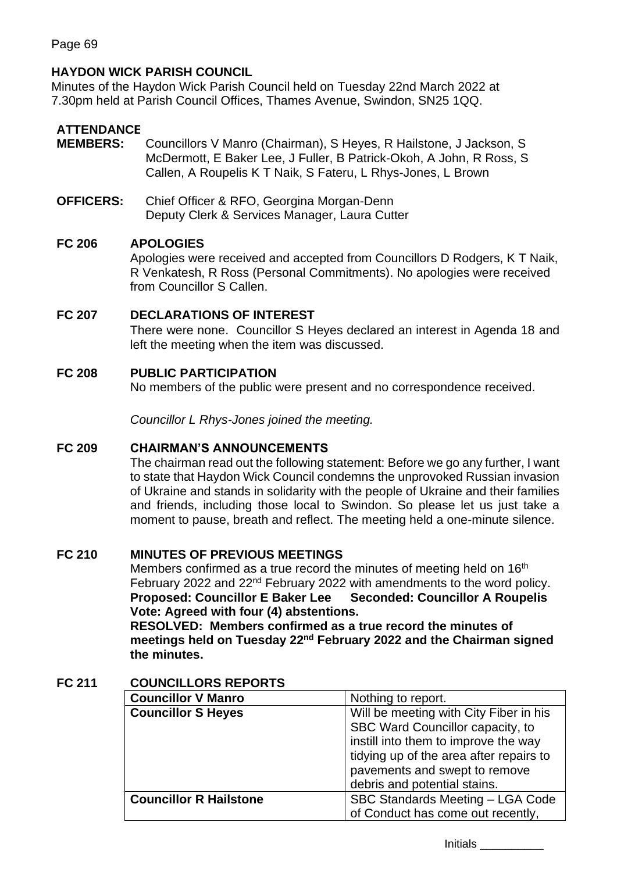# **HAYDON WICK PARISH COUNCIL**

Minutes of the Haydon Wick Parish Council held on Tuesday 22nd March 2022 at 7.30pm held at Parish Council Offices, Thames Avenue, Swindon, SN25 1QQ.

# **ATTENDANCE**

- **MEMBERS:** Councillors V Manro (Chairman), S Heyes, R Hailstone, J Jackson, S McDermott, E Baker Lee, J Fuller, B Patrick-Okoh, A John, R Ross, S Callen, A Roupelis K T Naik, S Fateru, L Rhys-Jones, L Brown
- **OFFICERS:** Chief Officer & RFO, Georgina Morgan-Denn Deputy Clerk & Services Manager, Laura Cutter

## **FC 206 APOLOGIES**

Apologies were received and accepted from Councillors D Rodgers, K T Naik, R Venkatesh, R Ross (Personal Commitments). No apologies were received from Councillor S Callen.

# **FC 207 DECLARATIONS OF INTEREST**

There were none. Councillor S Heyes declared an interest in Agenda 18 and left the meeting when the item was discussed.

## **FC 208 PUBLIC PARTICIPATION**

No members of the public were present and no correspondence received.

*Councillor L Rhys-Jones joined the meeting.*

## **FC 209 CHAIRMAN'S ANNOUNCEMENTS**

The chairman read out the following statement: Before we go any further, I want to state that Haydon Wick Council condemns the unprovoked Russian invasion of Ukraine and stands in solidarity with the people of Ukraine and their families and friends, including those local to Swindon. So please let us just take a moment to pause, breath and reflect. The meeting held a one-minute silence.

# **FC 210 MINUTES OF PREVIOUS MEETINGS**

Members confirmed as a true record the minutes of meeting held on 16<sup>th</sup> February 2022 and 22<sup>nd</sup> February 2022 with amendments to the word policy. **Proposed: Councillor E Baker Lee Seconded: Councillor A Roupelis Vote: Agreed with four (4) abstentions.**

**RESOLVED: Members confirmed as a true record the minutes of**  meetings held on Tuesday 22<sup>nd</sup> February 2022 and the Chairman signed **the minutes.**

## **FC 211 COUNCILLORS REPORTS**

| <b>Councillor V Manro</b>     | Nothing to report.                      |  |  |
|-------------------------------|-----------------------------------------|--|--|
| <b>Councillor S Heyes</b>     | Will be meeting with City Fiber in his  |  |  |
|                               | SBC Ward Councillor capacity, to        |  |  |
|                               | instill into them to improve the way    |  |  |
|                               | tidying up of the area after repairs to |  |  |
|                               | pavements and swept to remove           |  |  |
|                               | debris and potential stains.            |  |  |
| <b>Councillor R Hailstone</b> | SBC Standards Meeting - LGA Code        |  |  |
|                               | of Conduct has come out recently,       |  |  |

Initials \_\_\_\_\_\_\_\_\_\_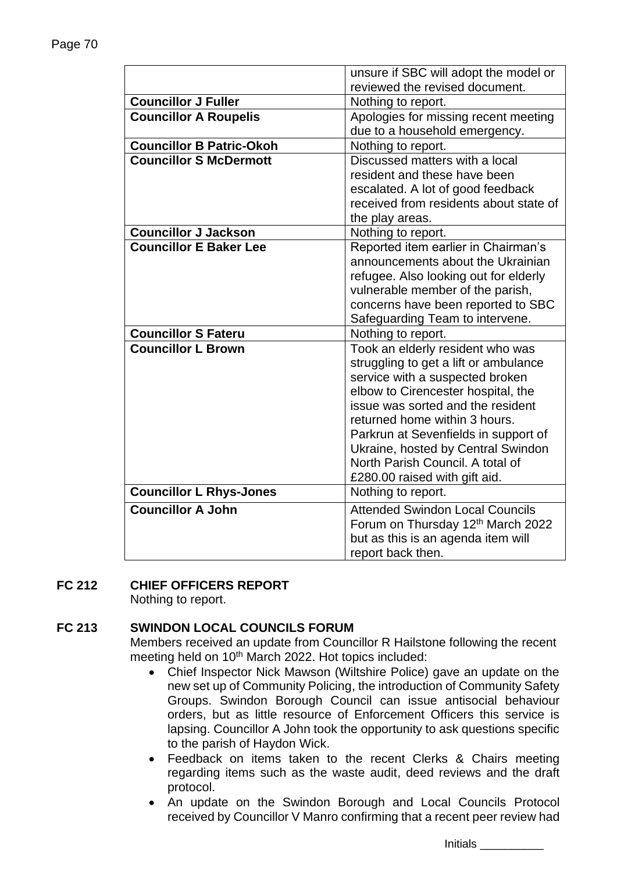|                                 | unsure if SBC will adopt the model or  |  |  |
|---------------------------------|----------------------------------------|--|--|
|                                 | reviewed the revised document.         |  |  |
| <b>Councillor J Fuller</b>      | Nothing to report.                     |  |  |
| <b>Councillor A Roupelis</b>    | Apologies for missing recent meeting   |  |  |
|                                 | due to a household emergency.          |  |  |
| <b>Councillor B Patric-Okoh</b> | Nothing to report.                     |  |  |
| <b>Councillor S McDermott</b>   | Discussed matters with a local         |  |  |
|                                 | resident and these have been           |  |  |
|                                 | escalated. A lot of good feedback      |  |  |
|                                 | received from residents about state of |  |  |
|                                 | the play areas.                        |  |  |
| <b>Councillor J Jackson</b>     | Nothing to report.                     |  |  |
| <b>Councillor E Baker Lee</b>   | Reported item earlier in Chairman's    |  |  |
|                                 | announcements about the Ukrainian      |  |  |
|                                 | refugee. Also looking out for elderly  |  |  |
|                                 | vulnerable member of the parish,       |  |  |
|                                 | concerns have been reported to SBC     |  |  |
|                                 | Safeguarding Team to intervene.        |  |  |
| <b>Councillor S Fateru</b>      | Nothing to report.                     |  |  |
| <b>Councillor L Brown</b>       | Took an elderly resident who was       |  |  |
|                                 | struggling to get a lift or ambulance  |  |  |
|                                 | service with a suspected broken        |  |  |
|                                 | elbow to Cirencester hospital, the     |  |  |
|                                 | issue was sorted and the resident      |  |  |
|                                 | returned home within 3 hours.          |  |  |
|                                 | Parkrun at Sevenfields in support of   |  |  |
|                                 | Ukraine, hosted by Central Swindon     |  |  |
|                                 | North Parish Council. A total of       |  |  |
|                                 | £280.00 raised with gift aid.          |  |  |
| <b>Councillor L Rhys-Jones</b>  | Nothing to report.                     |  |  |
| <b>Councillor A John</b>        | <b>Attended Swindon Local Councils</b> |  |  |
|                                 | Forum on Thursday 12th March 2022      |  |  |
|                                 | but as this is an agenda item will     |  |  |
|                                 | report back then.                      |  |  |

# **FC 212 CHIEF OFFICERS REPORT**

Nothing to report.

# **FC 213 SWINDON LOCAL COUNCILS FORUM**

Members received an update from Councillor R Hailstone following the recent meeting held on 10<sup>th</sup> March 2022. Hot topics included:

- Chief Inspector Nick Mawson (Wiltshire Police) gave an update on the new set up of Community Policing, the introduction of Community Safety Groups. Swindon Borough Council can issue antisocial behaviour orders, but as little resource of Enforcement Officers this service is lapsing. Councillor A John took the opportunity to ask questions specific to the parish of Haydon Wick.
- Feedback on items taken to the recent Clerks & Chairs meeting regarding items such as the waste audit, deed reviews and the draft protocol.
- An update on the Swindon Borough and Local Councils Protocol received by Councillor V Manro confirming that a recent peer review had

Initials \_\_\_\_\_\_\_\_\_\_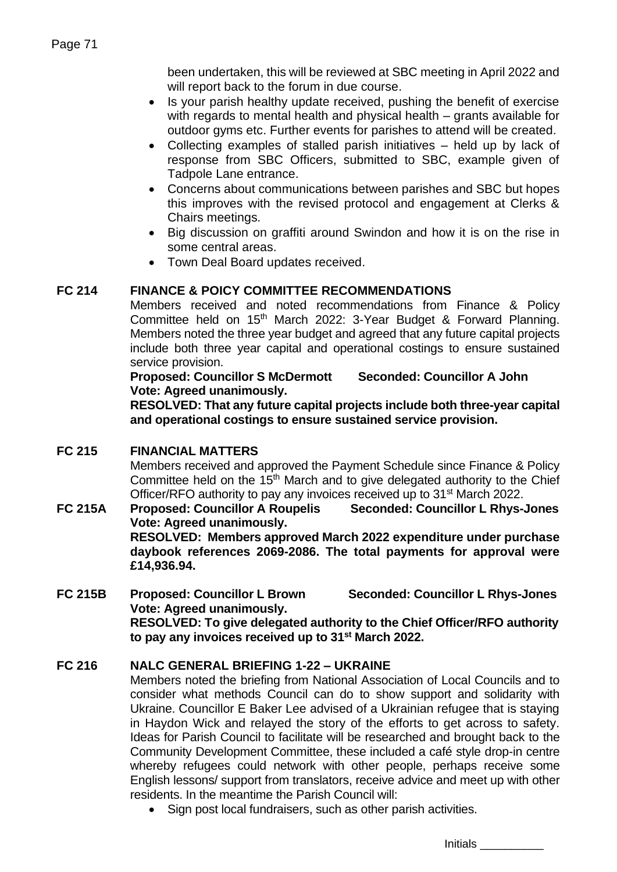been undertaken, this will be reviewed at SBC meeting in April 2022 and will report back to the forum in due course.

- Is your parish healthy update received, pushing the benefit of exercise with regards to mental health and physical health – grants available for outdoor gyms etc. Further events for parishes to attend will be created.
- Collecting examples of stalled parish initiatives held up by lack of response from SBC Officers, submitted to SBC, example given of Tadpole Lane entrance.
- Concerns about communications between parishes and SBC but hopes this improves with the revised protocol and engagement at Clerks & Chairs meetings.
- Big discussion on graffiti around Swindon and how it is on the rise in some central areas.
- Town Deal Board updates received.

# **FC 214 FINANCE & POICY COMMITTEE RECOMMENDATIONS**

Members received and noted recommendations from Finance & Policy Committee held on 15<sup>th</sup> March 2022: 3-Year Budget & Forward Planning. Members noted the three year budget and agreed that any future capital projects include both three year capital and operational costings to ensure sustained service provision.

## **Proposed: Councillor S McDermott Seconded: Councillor A John Vote: Agreed unanimously.**

**RESOLVED: That any future capital projects include both three-year capital and operational costings to ensure sustained service provision.**

# **FC 215 FINANCIAL MATTERS**

Members received and approved the Payment Schedule since Finance & Policy Committee held on the 15<sup>th</sup> March and to give delegated authority to the Chief Officer/RFO authority to pay any invoices received up to 31<sup>st</sup> March 2022.

# **FC 215A Proposed: Councillor A Roupelis Seconded: Councillor L Rhys-Jones Vote: Agreed unanimously. RESOLVED: Members approved March 2022 expenditure under purchase daybook references 2069-2086. The total payments for approval were £14,936.94.**

## **FC 215B Proposed: Councillor L Brown Seconded: Councillor L Rhys-Jones Vote: Agreed unanimously. RESOLVED: To give delegated authority to the Chief Officer/RFO authority to pay any invoices received up to 31st March 2022.**

# **FC 216 NALC GENERAL BRIEFING 1-22 – UKRAINE**

Members noted the briefing from National Association of Local Councils and to consider what methods Council can do to show support and solidarity with Ukraine. Councillor E Baker Lee advised of a Ukrainian refugee that is staying in Haydon Wick and relayed the story of the efforts to get across to safety. Ideas for Parish Council to facilitate will be researched and brought back to the Community Development Committee, these included a café style drop-in centre whereby refugees could network with other people, perhaps receive some English lessons/ support from translators, receive advice and meet up with other residents. In the meantime the Parish Council will:

• Sign post local fundraisers, such as other parish activities.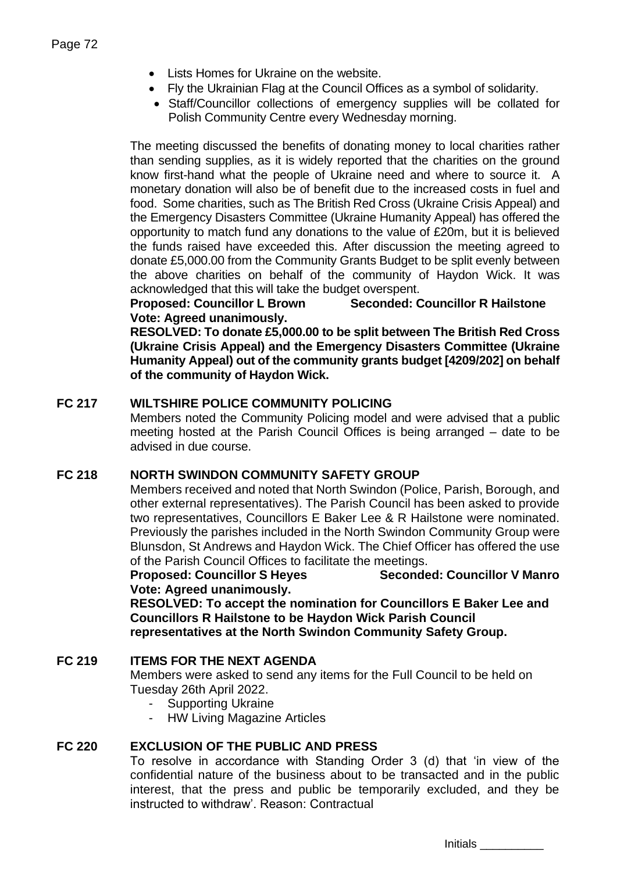- Lists Homes for Ukraine on the website.
- Fly the Ukrainian Flag at the Council Offices as a symbol of solidarity.
- Staff/Councillor collections of emergency supplies will be collated for Polish Community Centre every Wednesday morning.

The meeting discussed the benefits of donating money to local charities rather than sending supplies, as it is widely reported that the charities on the ground know first-hand what the people of Ukraine need and where to source it. A monetary donation will also be of benefit due to the increased costs in fuel and food. Some charities, such as The British Red Cross (Ukraine Crisis Appeal) and the Emergency Disasters Committee (Ukraine Humanity Appeal) has offered the opportunity to match fund any donations to the value of £20m, but it is believed the funds raised have exceeded this. After discussion the meeting agreed to donate £5,000.00 from the Community Grants Budget to be split evenly between the above charities on behalf of the community of Haydon Wick. It was acknowledged that this will take the budget overspent.

**Proposed: Councillor L Brown Seconded: Councillor R Hailstone Vote: Agreed unanimously.**

**RESOLVED: To donate £5,000.00 to be split between The British Red Cross (Ukraine Crisis Appeal) and the Emergency Disasters Committee (Ukraine Humanity Appeal) out of the community grants budget [4209/202] on behalf of the community of Haydon Wick.**

# **FC 217 WILTSHIRE POLICE COMMUNITY POLICING**

Members noted the Community Policing model and were advised that a public meeting hosted at the Parish Council Offices is being arranged – date to be advised in due course.

## **FC 218 NORTH SWINDON COMMUNITY SAFETY GROUP**

Members received and noted that North Swindon (Police, Parish, Borough, and other external representatives). The Parish Council has been asked to provide two representatives, Councillors E Baker Lee & R Hailstone were nominated. Previously the parishes included in the North Swindon Community Group were Blunsdon, St Andrews and Haydon Wick. The Chief Officer has offered the use of the Parish Council Offices to facilitate the meetings.

## **Proposed: Councillor S Heyes Seconded: Councillor V Manro Vote: Agreed unanimously.**

**RESOLVED: To accept the nomination for Councillors E Baker Lee and Councillors R Hailstone to be Haydon Wick Parish Council representatives at the North Swindon Community Safety Group.**

## **FC 219 ITEMS FOR THE NEXT AGENDA**

Members were asked to send any items for the Full Council to be held on Tuesday 26th April 2022.

- Supporting Ukraine
- HW Living Magazine Articles

## **FC 220 EXCLUSION OF THE PUBLIC AND PRESS**

To resolve in accordance with Standing Order 3 (d) that 'in view of the confidential nature of the business about to be transacted and in the public interest, that the press and public be temporarily excluded, and they be instructed to withdraw'. Reason: Contractual

Initials \_\_\_\_\_\_\_\_\_\_